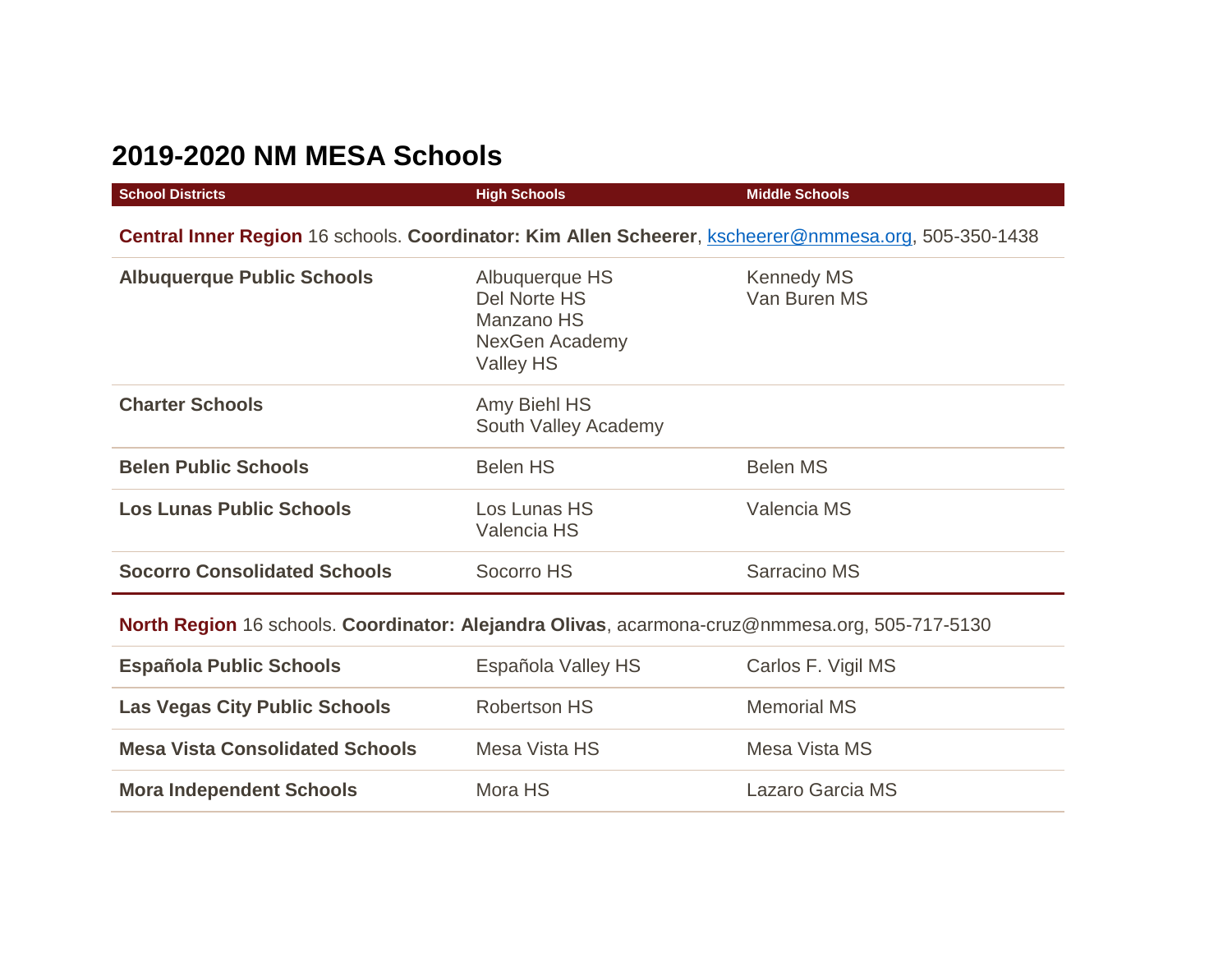## **2019-2020 NM MESA Schools**

| <b>School Districts</b>                                                                              | <b>High Schools</b>                                                         | <b>Middle Schools</b>             |  |  |
|------------------------------------------------------------------------------------------------------|-----------------------------------------------------------------------------|-----------------------------------|--|--|
| Central Inner Region 16 schools. Coordinator: Kim Allen Scheerer, kscheerer@nmmesa.org, 505-350-1438 |                                                                             |                                   |  |  |
| <b>Albuquerque Public Schools</b>                                                                    | Albuquerque HS<br>Del Norte HS<br>Manzano HS<br>NexGen Academy<br>Valley HS | <b>Kennedy MS</b><br>Van Buren MS |  |  |
| <b>Charter Schools</b>                                                                               | Amy Biehl HS<br>South Valley Academy                                        |                                   |  |  |
| <b>Belen Public Schools</b>                                                                          | Belen HS                                                                    | <b>Belen MS</b>                   |  |  |
| <b>Los Lunas Public Schools</b>                                                                      | Los Lunas HS<br><b>Valencia HS</b>                                          | Valencia MS                       |  |  |
| <b>Socorro Consolidated Schools</b>                                                                  | Socorro HS                                                                  | Sarracino MS                      |  |  |
| North Region 16 schools. Coordinator: Alejandra Olivas, acarmona-cruz@nmmesa.org, 505-717-5130       |                                                                             |                                   |  |  |
| <b>Española Public Schools</b>                                                                       | Española Valley HS                                                          | Carlos F. Vigil MS                |  |  |
|                                                                                                      |                                                                             |                                   |  |  |

| <b>Las Vegas City Public Schools</b>   | Robertson HS  | <b>Memorial MS</b> |
|----------------------------------------|---------------|--------------------|
| <b>Mesa Vista Consolidated Schools</b> | Mesa Vista HS | Mesa Vista MS      |
| <b>Mora Independent Schools</b>        | Mora HS       | Lazaro Garcia MS   |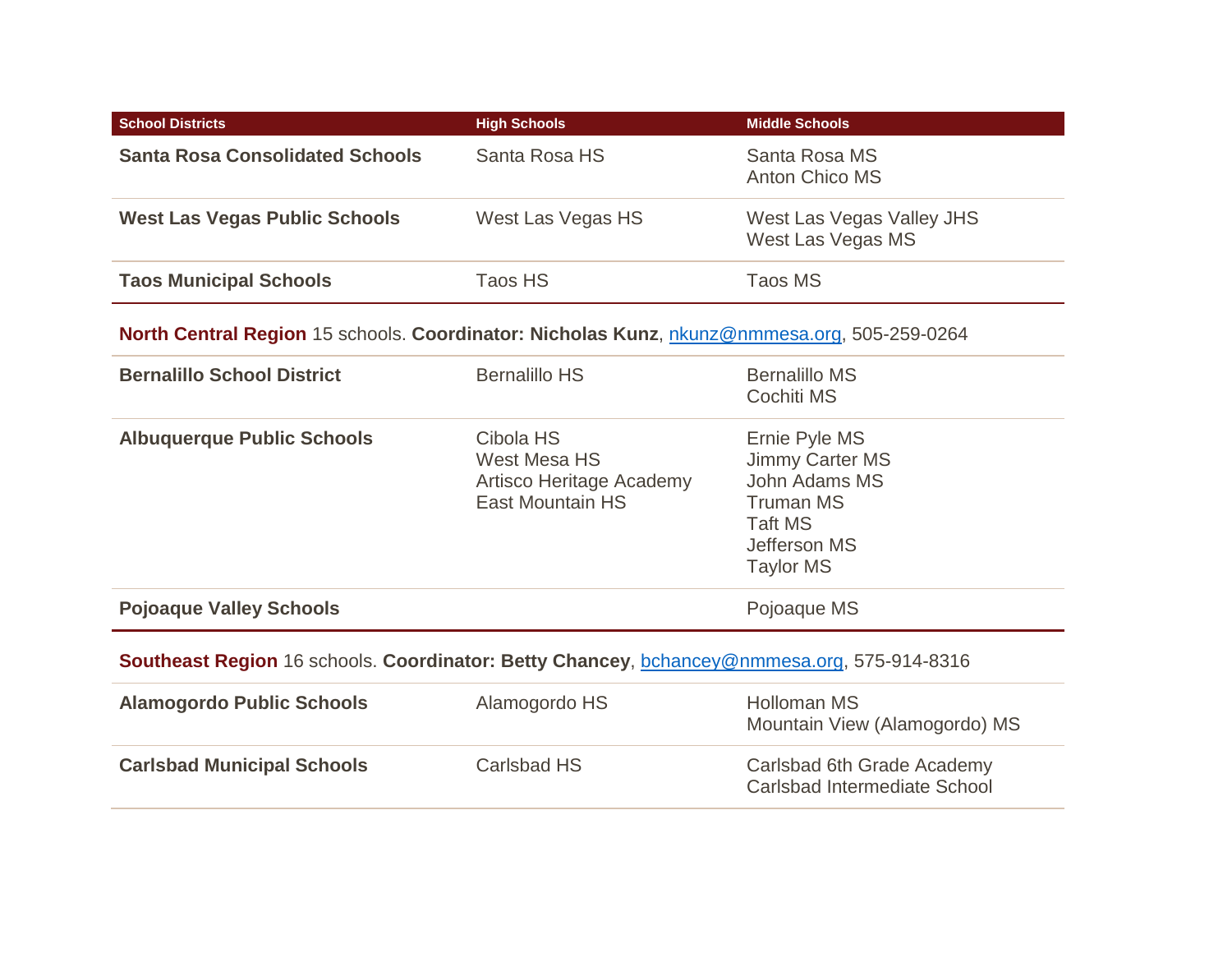| <b>School Districts</b>                                                                     | <b>High Schools</b>                                                                     | <b>Middle Schools</b>                                                                                                              |  |
|---------------------------------------------------------------------------------------------|-----------------------------------------------------------------------------------------|------------------------------------------------------------------------------------------------------------------------------------|--|
| <b>Santa Rosa Consolidated Schools</b>                                                      | Santa Rosa HS                                                                           | Santa Rosa MS<br><b>Anton Chico MS</b>                                                                                             |  |
| <b>West Las Vegas Public Schools</b>                                                        | West Las Vegas HS                                                                       | West Las Vegas Valley JHS<br>West Las Vegas MS                                                                                     |  |
| <b>Taos Municipal Schools</b>                                                               | Taos HS                                                                                 | <b>Taos MS</b>                                                                                                                     |  |
| North Central Region 15 schools. Coordinator: Nicholas Kunz, nkunz@nmmesa.org, 505-259-0264 |                                                                                         |                                                                                                                                    |  |
| <b>Bernalillo School District</b>                                                           | <b>Bernalillo HS</b>                                                                    | <b>Bernalillo MS</b><br>Cochiti MS                                                                                                 |  |
| <b>Albuquerque Public Schools</b>                                                           | Cibola HS<br><b>West Mesa HS</b><br>Artisco Heritage Academy<br><b>East Mountain HS</b> | Ernie Pyle MS<br>Jimmy Carter MS<br>John Adams MS<br><b>Truman MS</b><br><b>Taft MS</b><br><b>Jefferson MS</b><br><b>Taylor MS</b> |  |
| <b>Pojoaque Valley Schools</b>                                                              |                                                                                         | Pojoaque MS                                                                                                                        |  |
| Southeast Region 16 schools. Coordinator: Betty Chancey, bchancey@nmmesa.org, 575-914-8316  |                                                                                         |                                                                                                                                    |  |
| <b>Alamogordo Public Schools</b>                                                            | Alamogordo HS                                                                           | <b>Holloman MS</b><br>Mountain View (Alamogordo) MS                                                                                |  |
| <b>Carlsbad Municipal Schools</b>                                                           | <b>Carlsbad HS</b>                                                                      | Carlsbad 6th Grade Academy<br>Carlsbad Intermediate School                                                                         |  |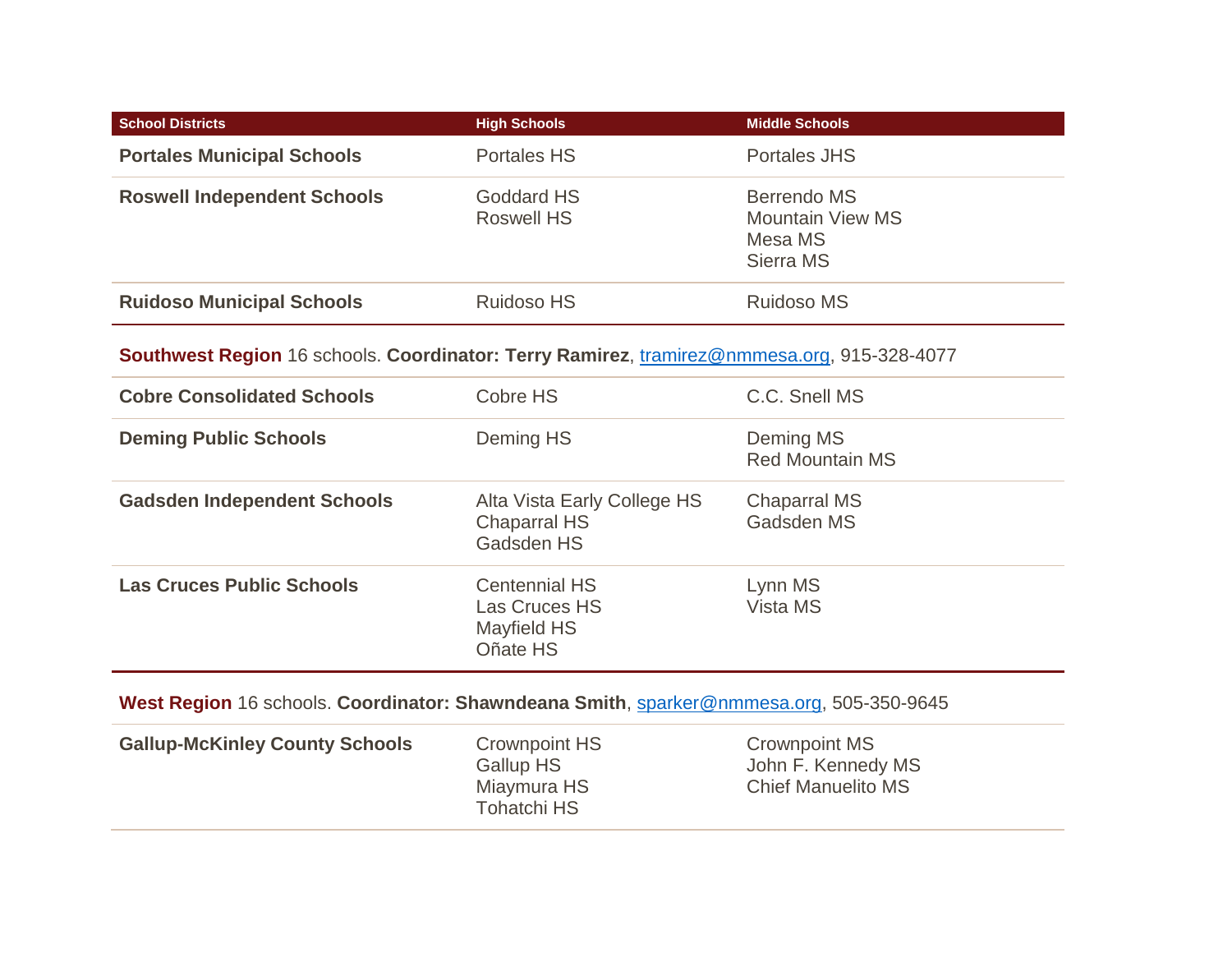| <b>School Districts</b>                                                                    | <b>High Schools</b>                                                            | <b>Middle Schools</b>                                                   |
|--------------------------------------------------------------------------------------------|--------------------------------------------------------------------------------|-------------------------------------------------------------------------|
| <b>Portales Municipal Schools</b>                                                          | <b>Portales HS</b>                                                             | <b>Portales JHS</b>                                                     |
| <b>Roswell Independent Schools</b>                                                         | <b>Goddard HS</b><br><b>Roswell HS</b>                                         | <b>Berrendo MS</b><br><b>Mountain View MS</b><br>Mesa MS<br>Sierra MS   |
| <b>Ruidoso Municipal Schools</b>                                                           | <b>Ruidoso HS</b>                                                              | <b>Ruidoso MS</b>                                                       |
| Southwest Region 16 schools. Coordinator: Terry Ramirez, tramirez@nmmesa.org, 915-328-4077 |                                                                                |                                                                         |
| <b>Cobre Consolidated Schools</b>                                                          | Cobre HS                                                                       | C.C. Snell MS                                                           |
| <b>Deming Public Schools</b>                                                               | Deming HS                                                                      | Deming MS<br><b>Red Mountain MS</b>                                     |
| <b>Gadsden Independent Schools</b>                                                         | Alta Vista Early College HS<br><b>Chaparral HS</b><br>Gadsden HS               | <b>Chaparral MS</b><br>Gadsden MS                                       |
| <b>Las Cruces Public Schools</b>                                                           | <b>Centennial HS</b><br><b>Las Cruces HS</b><br><b>Mayfield HS</b><br>Oñate HS | Lynn MS<br>Vista MS                                                     |
| West Region 16 schools. Coordinator: Shawndeana Smith, sparker@nmmesa.org, 505-350-9645    |                                                                                |                                                                         |
| <b>Gallup-McKinley County Schools</b>                                                      | <b>Crownpoint HS</b><br><b>Gallup HS</b><br>Miaymura HS<br><b>Tohatchi HS</b>  | <b>Crownpoint MS</b><br>John F. Kennedy MS<br><b>Chief Manuelito MS</b> |